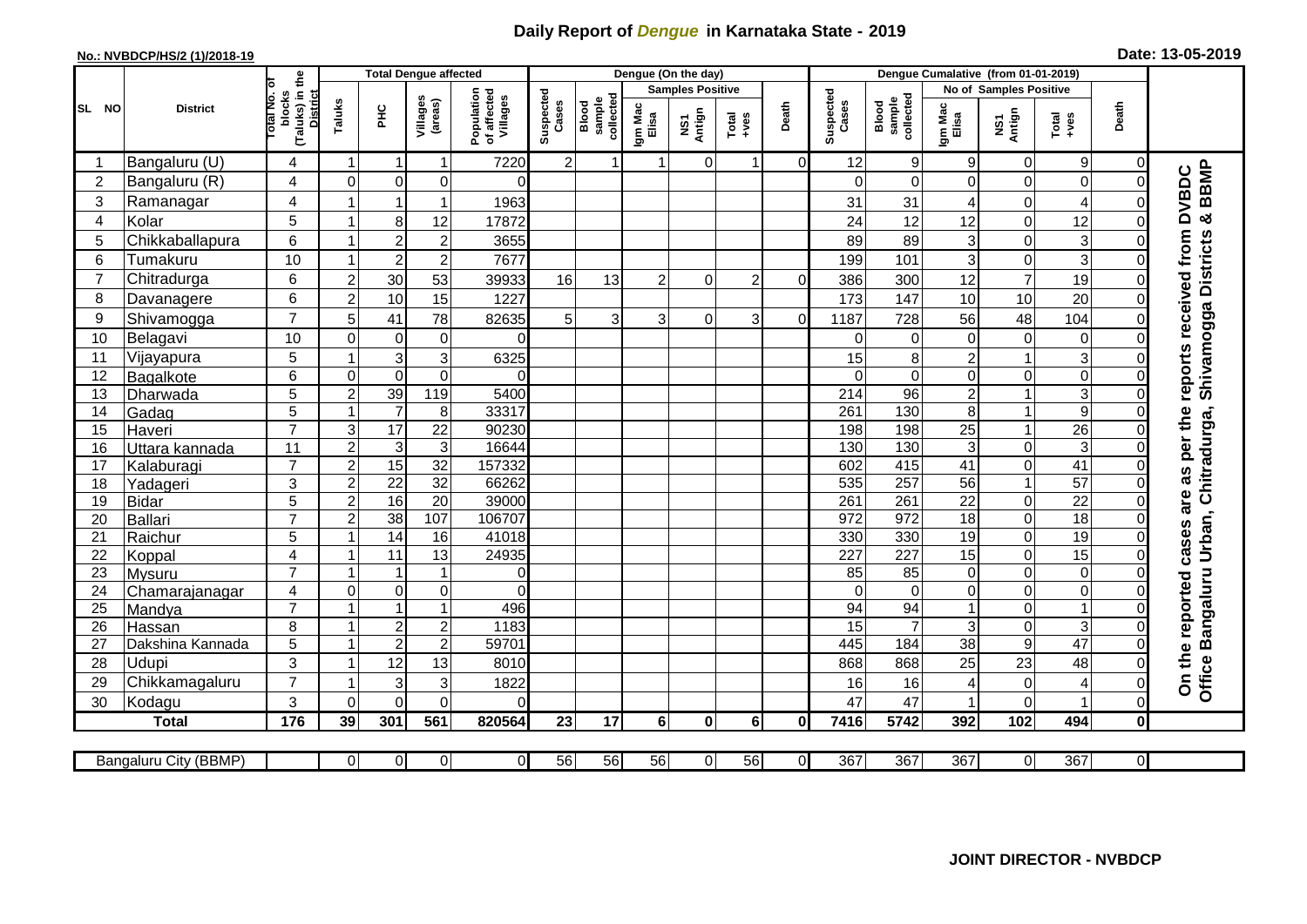## **Daily Report of** *Dengue* **in Karnataka State - 2019**

## **No.: NVBDCP/HS/2 (1)/2018-19 Date: 13-05-2019**

|                |                        |                                                    |                         | <b>Total Dengue affected</b> |                          |                                       |                    |                              |                         | Dengue (On the day)             |                |                |                    |                                     |                               |                       |                                                                      |                               |                                                            |
|----------------|------------------------|----------------------------------------------------|-------------------------|------------------------------|--------------------------|---------------------------------------|--------------------|------------------------------|-------------------------|---------------------------------|----------------|----------------|--------------------|-------------------------------------|-------------------------------|-----------------------|----------------------------------------------------------------------|-------------------------------|------------------------------------------------------------|
| SL NO          |                        | ō                                                  |                         |                              |                          |                                       |                    |                              | <b>Samples Positive</b> |                                 |                |                |                    |                                     | <b>No of Samples Positive</b> |                       |                                                                      |                               |                                                            |
|                | <b>District</b>        | (Taluks) in the<br>District<br>lotal No.<br>blocks | Taluks                  | ΞÉ                           | Villages<br>(areas)      | Population<br>of affected<br>Villages | Suspected<br>Cases | Blood<br>sample<br>collected | Igm Mac<br>Elisa        | Antign<br>$\overline{\text{S}}$ | $Total$        | Death          | Suspected<br>Cases | collected<br><b>Blood</b><br>sample | Igm Mac<br>Elisa              | NS1<br>Antign         | $\begin{array}{c}\n\text{Total} \\ \text{1} & \text{1}\n\end{array}$ | Death                         |                                                            |
| -1             | Bangaluru (U)          | 4                                                  | $\mathbf 1$             | $\mathbf 1$                  | $\mathbf{1}$             | 7220                                  | $2\vert$           | $\mathbf{1}$                 | 1                       | $\overline{0}$                  | $\mathbf 1$    | $\overline{0}$ | 12                 | 9                                   | 9                             | 0                     | $9\,$                                                                | 0                             |                                                            |
| $\overline{2}$ | Bangaluru (R)          | 4                                                  | $\Omega$                | $\mathbf 0$                  | 0                        | $\Omega$                              |                    |                              |                         |                                 |                |                | $\Omega$           | $\mathbf 0$                         | $\Omega$                      | 0                     | $\mathbf 0$                                                          | $\Omega$                      |                                                            |
| 3              | Ramanagar              | 4                                                  |                         | $\overline{1}$               | $\mathbf{1}$             | 1963                                  |                    |                              |                         |                                 |                |                | 31                 | 31                                  | 4                             | 0                     | 4                                                                    | $\Omega$                      | <b>BBMP</b><br><b>DVBDC</b>                                |
| 4              | Kolar                  | 5                                                  |                         | 8                            | 12                       | 17872                                 |                    |                              |                         |                                 |                |                | 24                 | 12                                  | 12                            | 0                     | 12                                                                   | $\Omega$                      | න්                                                         |
| 5              | Chikkaballapura        | 6                                                  | 1                       | $\overline{2}$               | $\overline{c}$           | 3655                                  |                    |                              |                         |                                 |                |                | 89                 | 89                                  | 3                             | 0                     | 3                                                                    | $\Omega$                      |                                                            |
| 6              | Tumakuru               | 10                                                 | -1                      | $\overline{2}$               | $\overline{c}$           | 7677                                  |                    |                              |                         |                                 |                |                | 199                | 101                                 | 3                             | 0                     | 3                                                                    | 0                             |                                                            |
| 7              | Chitradurga            | 6                                                  | $\boldsymbol{2}$        | 30                           | 53                       | 39933                                 | 16                 | 13                           | $\overline{2}$          | $\Omega$                        | $\overline{c}$ | $\mathbf 0$    | 386                | 300                                 | 12                            | $\boldsymbol{7}$      | 19                                                                   | $\mathbf 0$                   |                                                            |
| 8              | Davanagere             | 6                                                  | $\overline{2}$          | 10                           | 15                       | 1227                                  |                    |                              |                         |                                 |                |                | 173                | 147                                 | 10                            | 10                    | 20                                                                   | $\Omega$                      |                                                            |
| 9              | Shivamogga             | $\overline{7}$                                     | 5                       | 41                           | 78                       | 82635                                 | 5 <sup>1</sup>     | 3                            | 3                       | $\Omega$                        | 3              | $\Omega$       | 1187               | 728                                 | 56                            | 48                    | 104                                                                  | $\Omega$                      | Shivamogga Districts                                       |
| 10             | Belagavi               | 10                                                 | $\Omega$                | $\mathbf 0$                  | $\pmb{0}$                | 0                                     |                    |                              |                         |                                 |                |                | 0                  | $\Omega$                            | 0                             | 0                     | 0                                                                    | C                             |                                                            |
| 11             | Vijayapura             | 5                                                  |                         | 3                            | 3                        | 6325                                  |                    |                              |                         |                                 |                |                | 15                 | 8                                   | 2                             | 1                     | 3                                                                    | $\mathcal{C}$                 |                                                            |
| 12             | Bagalkote              | 6                                                  | $\Omega$                | $\overline{0}$               | $\overline{0}$           | $\Omega$                              |                    |                              |                         |                                 |                |                | $\Omega$           | $\overline{0}$                      | $\mathbf 0$                   | 0                     | $\overline{0}$                                                       | $\Omega$                      |                                                            |
| 13             | Dharwada               | 5                                                  | $\overline{c}$          | 39                           | 119                      | 5400                                  |                    |                              |                         |                                 |                |                | 214                | $\overline{96}$                     | $\overline{c}$                | $\mathbf{1}$          | ω                                                                    | $\Omega$                      |                                                            |
| 14             | Gadag                  | $\overline{5}$                                     | $\mathbf{1}$            | $\overline{7}$               | $\bf 8$                  | 33317                                 |                    |                              |                         |                                 |                |                | 261                | 130                                 | $\,8\,$                       | $\overline{1}$        | 9                                                                    | $\mathbf 0$                   | Bangaluru Urban, Chitradurga,                              |
| 15             | Haveri                 | $\overline{7}$                                     | 3                       | $\overline{17}$              | $\overline{22}$          | 90230                                 |                    |                              |                         |                                 |                |                | 198                | 198                                 | 25                            | $\mathbf{1}$          | $\overline{26}$                                                      | $\Omega$                      |                                                            |
| 16             | Uttara kannada         | 11                                                 | $\overline{2}$          | 3                            | $\mathbf{3}$             | 16644                                 |                    |                              |                         |                                 |                |                | 130                | 130                                 | 3                             | 0                     | ω                                                                    | $\Omega$                      |                                                            |
| 17             | Kalaburagi             | $\overline{7}$                                     | $\overline{2}$          | 15                           | 32                       | 157332                                |                    |                              |                         |                                 |                |                | 602                | 415                                 | 41                            | 0                     | 41                                                                   | $\mathbf 0$                   |                                                            |
| 18             | Yadageri               | 3                                                  | $\overline{2}$          | $\overline{22}$              | 32                       | 66262                                 |                    |                              |                         |                                 |                |                | 535                | 257                                 | 56                            | $\mathbf{1}$          | $\overline{57}$                                                      | $\Omega$                      |                                                            |
| 19             | <b>Bidar</b>           | 5                                                  | $\overline{2}$          | 16                           | $\overline{20}$          | 39000                                 |                    |                              |                         |                                 |                |                | 261                | 261                                 | $\overline{22}$               | 0                     | $\overline{22}$                                                      | $\mathbf 0$                   |                                                            |
| 20             | <b>Ballari</b>         | $\overline{7}$                                     | $\overline{c}$          | 38                           | 107                      | 106707                                |                    |                              |                         |                                 |                |                | $\overline{972}$   | 972                                 | 18                            | 0                     | $\overline{18}$                                                      | $\Omega$                      |                                                            |
| 21             | Raichur                | 5                                                  |                         | $\overline{14}$              | 16                       | 41018                                 |                    |                              |                         |                                 |                |                | 330                | 330                                 | 19                            | 0                     | 19                                                                   | $\mathbf 0$                   |                                                            |
| 22             | Koppal                 | 4                                                  |                         | $\overline{11}$              | $\overline{13}$          | 24935                                 |                    |                              |                         |                                 |                |                | 227                | 227                                 | 15                            | 0                     | 15                                                                   | $\mathbf 0$                   |                                                            |
| 23             | Mysuru                 | $\overline{7}$                                     | -1                      | $\overline{1}$               | $\mathbf{1}$             | $\overline{0}$                        |                    |                              |                         |                                 |                |                | 85                 | $\overline{85}$                     | $\mathbf 0$                   | 0                     | $\overline{0}$                                                       | $\Omega$                      |                                                            |
| 24             | Chamarajanagar         | 4<br>$\overline{7}$                                | $\mathbf 0$             | $\pmb{0}$                    | $\overline{0}$           | $\Omega$                              |                    |                              |                         |                                 |                |                | $\Omega$           | $\mathbf 0$                         | 0                             | 0                     | $\overline{0}$                                                       | $\mathbf 0$                   |                                                            |
| 25             | Mandya                 |                                                    | $\overline{\mathbf{A}}$ | $\overline{1}$               | $\mathbf{1}$             | 496                                   |                    |                              |                         |                                 |                |                | 94                 | 94<br>$\overline{7}$                |                               | 0                     | $\mathbf{1}$<br>ვ                                                    | $\mathbf 0$                   |                                                            |
| 26             | Hassan                 | 8<br>5                                             | $\overline{1}$          | $\sqrt{2}$<br>$\overline{2}$ | $\sqrt{2}$<br>$\sqrt{2}$ | 1183<br>59701                         |                    |                              |                         |                                 |                |                | 15<br>445          | 184                                 | 3                             | 0<br>$\boldsymbol{9}$ | 47                                                                   | $\mathbf 0$<br>$\mathbf 0$    |                                                            |
| 27             | Dakshina Kannada       | 3                                                  |                         |                              |                          |                                       |                    |                              |                         |                                 |                |                |                    |                                     | 38                            |                       |                                                                      | $\Omega$                      |                                                            |
| 28<br>29       | Udupi                  | $\overline{7}$                                     |                         | 12                           | 13<br>3                  | 8010                                  |                    |                              |                         |                                 |                |                | 868                | 868                                 | 25                            | 23                    | 48                                                                   |                               | On the reported cases are as per the reports received from |
| 30             | Chikkamagaluru         | 3                                                  | $\Omega$                | 3<br>$\mathbf{0}$            | 0                        | 1822<br>$\Omega$                      |                    |                              |                         |                                 |                |                | 16<br>47           | 16<br>47                            | 4                             | 0<br>$\overline{0}$   | 4<br>1                                                               | $\mathbf 0$<br>$\overline{0}$ | Office                                                     |
|                | Kodagu<br><b>Total</b> | 176                                                | 39                      | 301                          | 561                      | 820564                                | 23                 | 17                           | $6 \mid$                | $\mathbf 0$                     | 6 <sup>1</sup> | $\mathbf{0}$   | 7416               | 5742                                | 392                           | 102                   | 494                                                                  | $\pmb{0}$                     |                                                            |
|                |                        |                                                    |                         |                              |                          |                                       |                    |                              |                         |                                 |                |                |                    |                                     |                               |                       |                                                                      |                               |                                                            |
|                | Bangaluru City (BBMP)  |                                                    | $\Omega$                | $\overline{0}$               | οl                       | $\overline{0}$                        | 56                 | 56                           | 56                      | 0                               | 56             | $\overline{0}$ | 367                | 367                                 | 367                           | $\overline{0}$        | 367                                                                  | $\overline{0}$                |                                                            |